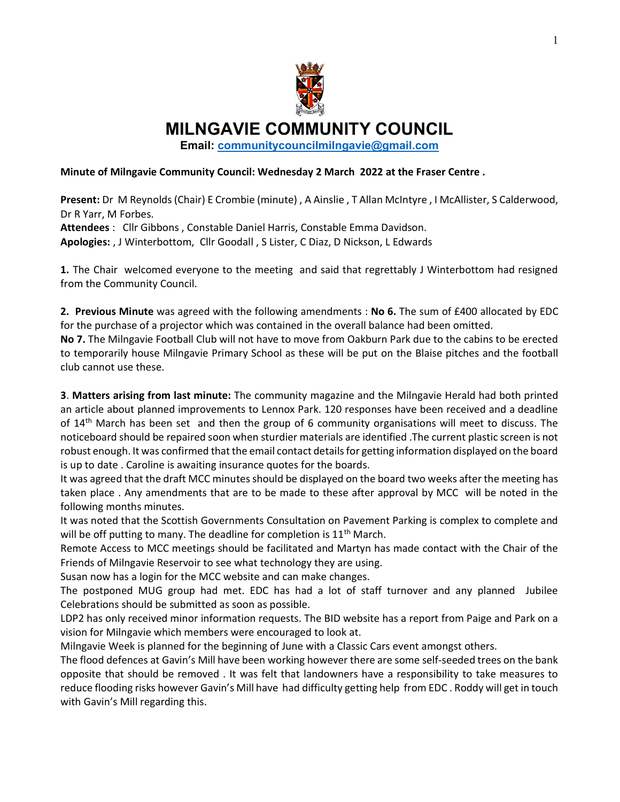

MILNGAVIE COMMUNITY COUNCIL

Email: communitycouncilmilngavie@gmail.com

## Minute of Milngavie Community Council: Wednesday 2 March 2022 at the Fraser Centre .

Present: Dr M Reynolds (Chair) E Crombie (minute) , A Ainslie , T Allan McIntyre , I McAllister, S Calderwood, Dr R Yarr, M Forbes. Attendees : Cllr Gibbons, Constable Daniel Harris, Constable Emma Davidson. Apologies: , J Winterbottom, Cllr Goodall , S Lister, C Diaz, D Nickson, L Edwards

**1.** The Chair welcomed everyone to the meeting and said that regrettably J Winterbottom had resigned from the Community Council.

2. Previous Minute was agreed with the following amendments : No 6. The sum of £400 allocated by EDC for the purchase of a projector which was contained in the overall balance had been omitted.

No 7. The Milngavie Football Club will not have to move from Oakburn Park due to the cabins to be erected to temporarily house Milngavie Primary School as these will be put on the Blaise pitches and the football club cannot use these.

3. Matters arising from last minute: The community magazine and the Milngavie Herald had both printed an article about planned improvements to Lennox Park. 120 responses have been received and a deadline of  $14<sup>th</sup>$  March has been set and then the group of 6 community organisations will meet to discuss. The noticeboard should be repaired soon when sturdier materials are identified .The current plastic screen is not robust enough. It was confirmed that the email contact details for getting information displayed on the board is up to date . Caroline is awaiting insurance quotes for the boards.

It was agreed that the draft MCC minutes should be displayed on the board two weeks after the meeting has taken place . Any amendments that are to be made to these after approval by MCC will be noted in the following months minutes.

It was noted that the Scottish Governments Consultation on Pavement Parking is complex to complete and will be off putting to many. The deadline for completion is  $11<sup>th</sup>$  March.

Remote Access to MCC meetings should be facilitated and Martyn has made contact with the Chair of the Friends of Milngavie Reservoir to see what technology they are using.

Susan now has a login for the MCC website and can make changes.

The postponed MUG group had met. EDC has had a lot of staff turnover and any planned Jubilee Celebrations should be submitted as soon as possible.

LDP2 has only received minor information requests. The BID website has a report from Paige and Park on a vision for Milngavie which members were encouraged to look at.

Milngavie Week is planned for the beginning of June with a Classic Cars event amongst others.

The flood defences at Gavin's Mill have been working however there are some self-seeded trees on the bank opposite that should be removed . It was felt that landowners have a responsibility to take measures to reduce flooding risks however Gavin's Mill have had difficulty getting help from EDC . Roddy will get in touch with Gavin's Mill regarding this.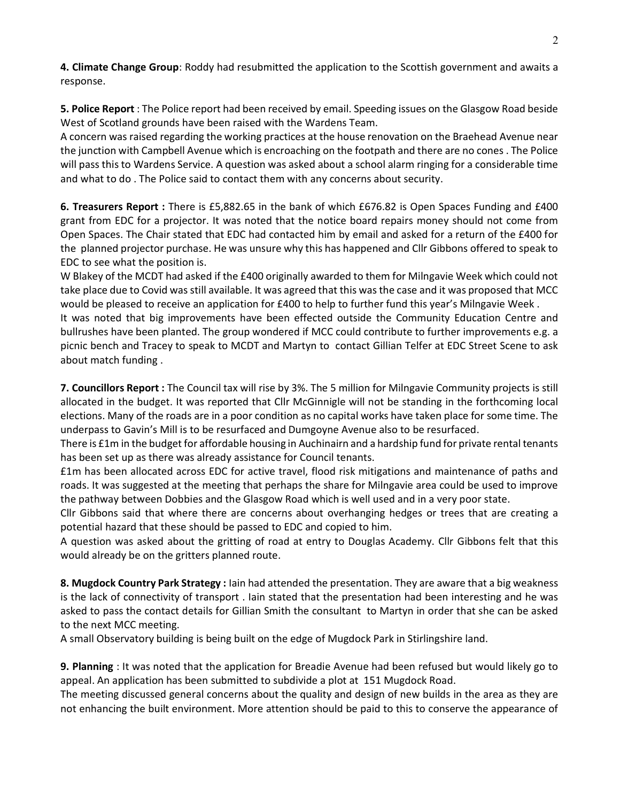4. Climate Change Group: Roddy had resubmitted the application to the Scottish government and awaits a response.

5. Police Report : The Police report had been received by email. Speeding issues on the Glasgow Road beside West of Scotland grounds have been raised with the Wardens Team.

A concern was raised regarding the working practices at the house renovation on the Braehead Avenue near the junction with Campbell Avenue which is encroaching on the footpath and there are no cones . The Police will pass this to Wardens Service. A question was asked about a school alarm ringing for a considerable time and what to do . The Police said to contact them with any concerns about security.

6. Treasurers Report : There is £5,882.65 in the bank of which £676.82 is Open Spaces Funding and £400 grant from EDC for a projector. It was noted that the notice board repairs money should not come from Open Spaces. The Chair stated that EDC had contacted him by email and asked for a return of the £400 for the planned projector purchase. He was unsure why this has happened and Cllr Gibbons offered to speak to EDC to see what the position is.

W Blakey of the MCDT had asked if the £400 originally awarded to them for Milngavie Week which could not take place due to Covid was still available. It was agreed that this was the case and it was proposed that MCC would be pleased to receive an application for £400 to help to further fund this year's Milngavie Week .

It was noted that big improvements have been effected outside the Community Education Centre and bullrushes have been planted. The group wondered if MCC could contribute to further improvements e.g. a picnic bench and Tracey to speak to MCDT and Martyn to contact Gillian Telfer at EDC Street Scene to ask about match funding .

7. Councillors Report : The Council tax will rise by 3%. The 5 million for Milngavie Community projects is still allocated in the budget. It was reported that Cllr McGinnigle will not be standing in the forthcoming local elections. Many of the roads are in a poor condition as no capital works have taken place for some time. The underpass to Gavin's Mill is to be resurfaced and Dumgoyne Avenue also to be resurfaced.

There is £1m in the budget for affordable housing in Auchinairn and a hardship fund for private rental tenants has been set up as there was already assistance for Council tenants.

£1m has been allocated across EDC for active travel, flood risk mitigations and maintenance of paths and roads. It was suggested at the meeting that perhaps the share for Milngavie area could be used to improve the pathway between Dobbies and the Glasgow Road which is well used and in a very poor state.

Cllr Gibbons said that where there are concerns about overhanging hedges or trees that are creating a potential hazard that these should be passed to EDC and copied to him.

A question was asked about the gritting of road at entry to Douglas Academy. Cllr Gibbons felt that this would already be on the gritters planned route.

8. Mugdock Country Park Strategy : Iain had attended the presentation. They are aware that a big weakness is the lack of connectivity of transport . Iain stated that the presentation had been interesting and he was asked to pass the contact details for Gillian Smith the consultant to Martyn in order that she can be asked to the next MCC meeting.

A small Observatory building is being built on the edge of Mugdock Park in Stirlingshire land.

9. Planning : It was noted that the application for Breadie Avenue had been refused but would likely go to appeal. An application has been submitted to subdivide a plot at 151 Mugdock Road.

The meeting discussed general concerns about the quality and design of new builds in the area as they are not enhancing the built environment. More attention should be paid to this to conserve the appearance of